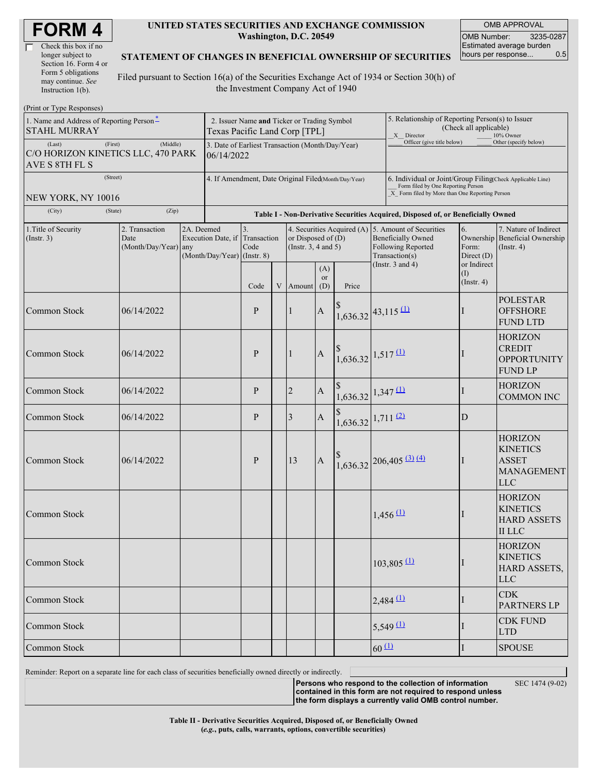| <b>FORM4</b> |  |
|--------------|--|
|--------------|--|

| Check this box if no  |  |
|-----------------------|--|
| longer subject to     |  |
| Section 16. Form 4 or |  |
| Form 5 obligations    |  |
| may continue. See     |  |
| Instruction 1(b).     |  |

#### **UNITED STATES SECURITIES AND EXCHANGE COMMISSION Washington, D.C. 20549**

OMB APPROVAL OMB Number: 3235-0287 Estimated average burden hours per response... 0.5

### **STATEMENT OF CHANGES IN BENEFICIAL OWNERSHIP OF SECURITIES**

Filed pursuant to Section 16(a) of the Securities Exchange Act of 1934 or Section 30(h) of the Investment Company Act of 1940

| (Print or Type Responses)                                                                  |            |                                                                                              |                                                                                  |                                              |  |                                             |                         |                                                                                                                                                    |                                                                                                                       |                            |                                          |                                                                                      |  |  |
|--------------------------------------------------------------------------------------------|------------|----------------------------------------------------------------------------------------------|----------------------------------------------------------------------------------|----------------------------------------------|--|---------------------------------------------|-------------------------|----------------------------------------------------------------------------------------------------------------------------------------------------|-----------------------------------------------------------------------------------------------------------------------|----------------------------|------------------------------------------|--------------------------------------------------------------------------------------|--|--|
| 1. Name and Address of Reporting Person-<br><b>STAHL MURRAY</b>                            |            | Texas Pacific Land Corp [TPL]                                                                | 2. Issuer Name and Ticker or Trading Symbol                                      |                                              |  |                                             |                         |                                                                                                                                                    | 5. Relationship of Reporting Person(s) to Issuer<br>(Check all applicable)<br>X Director<br>10% Owner                 |                            |                                          |                                                                                      |  |  |
| (First)<br>(Last)<br>C/O HORIZON KINETICS LLC, 470 PARK<br>AVE S 8TH FL S                  | (Middle)   | Officer (give title below)<br>3. Date of Earliest Transaction (Month/Day/Year)<br>06/14/2022 |                                                                                  |                                              |  |                                             |                         |                                                                                                                                                    |                                                                                                                       |                            | Other (specify below)                    |                                                                                      |  |  |
| (Street)<br>NEW YORK, NY 10016                                                             |            | 4. If Amendment, Date Original Filed(Month/Day/Year)                                         |                                                                                  |                                              |  |                                             |                         | 6. Individual or Joint/Group Filing(Check Applicable Line)<br>Form filed by One Reporting Person<br>X Form filed by More than One Reporting Person |                                                                                                                       |                            |                                          |                                                                                      |  |  |
| (City)<br>(State)                                                                          | (Zip)      |                                                                                              | Table I - Non-Derivative Securities Acquired, Disposed of, or Beneficially Owned |                                              |  |                                             |                         |                                                                                                                                                    |                                                                                                                       |                            |                                          |                                                                                      |  |  |
| 1. Title of Security<br>2. Transaction<br>$($ Instr. 3 $)$<br>Date<br>(Month/Day/Year) any |            | 2A. Deemed                                                                                   | $(Month/Day/Year)$ (Instr. 8)                                                    | 3.<br>Execution Date, if Transaction<br>Code |  | or Disposed of $(D)$<br>(Instr. 3, 4 and 5) |                         | 4. Securities Acquired (A)                                                                                                                         | 5. Amount of Securities<br><b>Beneficially Owned</b><br>Following Reported<br>Transaction(s)<br>(Instr. $3$ and $4$ ) |                            | 6.<br>Form:<br>Direct (D)<br>or Indirect | 7. Nature of Indirect<br>Ownership Beneficial Ownership<br>$($ Instr. 4 $)$          |  |  |
|                                                                                            |            |                                                                                              |                                                                                  | Code                                         |  | V Amount                                    | (A)<br><b>or</b><br>(D) | Price                                                                                                                                              |                                                                                                                       |                            | (I)<br>$($ Instr. 4 $)$                  |                                                                                      |  |  |
| Common Stock                                                                               | 06/14/2022 |                                                                                              |                                                                                  | P                                            |  | 1                                           | $\mathbf A$             | $1,636.32$ 43,115 (1)                                                                                                                              |                                                                                                                       | ш                          |                                          | <b>POLESTAR</b><br><b>OFFSHORE</b><br><b>FUND LTD</b>                                |  |  |
| Common Stock                                                                               | 06/14/2022 |                                                                                              |                                                                                  | P                                            |  | 1                                           | $\mathbf A$             | $\frac{1}{1,636.32}$ 1,517 (1)                                                                                                                     |                                                                                                                       |                            |                                          | <b>HORIZON</b><br><b>CREDIT</b><br><b>OPPORTUNITY</b><br><b>FUND LP</b>              |  |  |
| Common Stock                                                                               | 06/14/2022 |                                                                                              |                                                                                  | P                                            |  | $\overline{2}$                              | $\mathbf{A}$            | $\begin{array}{c} \n  \  \, 1,636.32 \n \end{array}$ 1,347 (1)                                                                                     |                                                                                                                       |                            | T                                        | <b>HORIZON</b><br><b>COMMON INC</b>                                                  |  |  |
| Common Stock                                                                               | 06/14/2022 |                                                                                              |                                                                                  | P                                            |  | 3                                           | $\mathbf{A}$            | $1,636.32$ 1,711 (2)                                                                                                                               |                                                                                                                       |                            | D                                        |                                                                                      |  |  |
| Common Stock                                                                               | 06/14/2022 |                                                                                              |                                                                                  | P                                            |  | 13                                          | $\mathbf{A}$            |                                                                                                                                                    |                                                                                                                       | $1,636.32$ 206,405 (3) (4) | Ш                                        | <b>HORIZON</b><br><b>KINETICS</b><br><b>ASSET</b><br><b>MANAGEMENT</b><br><b>LLC</b> |  |  |
| Common Stock                                                                               |            |                                                                                              |                                                                                  |                                              |  |                                             |                         |                                                                                                                                                    |                                                                                                                       | $1,456 \, 11$              |                                          | <b>HORIZON</b><br><b>KINETICS</b><br><b>HARD ASSETS</b><br><b>II</b> LLC             |  |  |
| Common Stock                                                                               |            |                                                                                              |                                                                                  |                                              |  |                                             |                         |                                                                                                                                                    |                                                                                                                       | $103,805$ <sup>(1)</sup>   |                                          | <b>HORIZON</b><br><b>KINETICS</b><br>HARD ASSETS,<br><b>LLC</b>                      |  |  |
| Common Stock                                                                               |            |                                                                                              |                                                                                  |                                              |  |                                             |                         |                                                                                                                                                    |                                                                                                                       | $2,484$ <sup>(1)</sup>     | I                                        | <b>CDK</b><br><b>PARTNERS LP</b>                                                     |  |  |
| Common Stock                                                                               |            |                                                                                              |                                                                                  |                                              |  |                                             |                         |                                                                                                                                                    |                                                                                                                       | $5,549 \, 11$              | $\perp$                                  | <b>CDK FUND</b><br><b>LTD</b>                                                        |  |  |
| Common Stock                                                                               |            |                                                                                              |                                                                                  |                                              |  |                                             |                         |                                                                                                                                                    | $60 \Omega$                                                                                                           |                            | I                                        | <b>SPOUSE</b>                                                                        |  |  |

Reminder: Report on a separate line for each class of securities beneficially owned directly or indirectly.

**Persons who respond to the collection of information contained in this form are not required to respond unless** SEC 1474 (9-02)

**the form displays a currently valid OMB control number.**

**Table II - Derivative Securities Acquired, Disposed of, or Beneficially Owned (***e.g.***, puts, calls, warrants, options, convertible securities)**